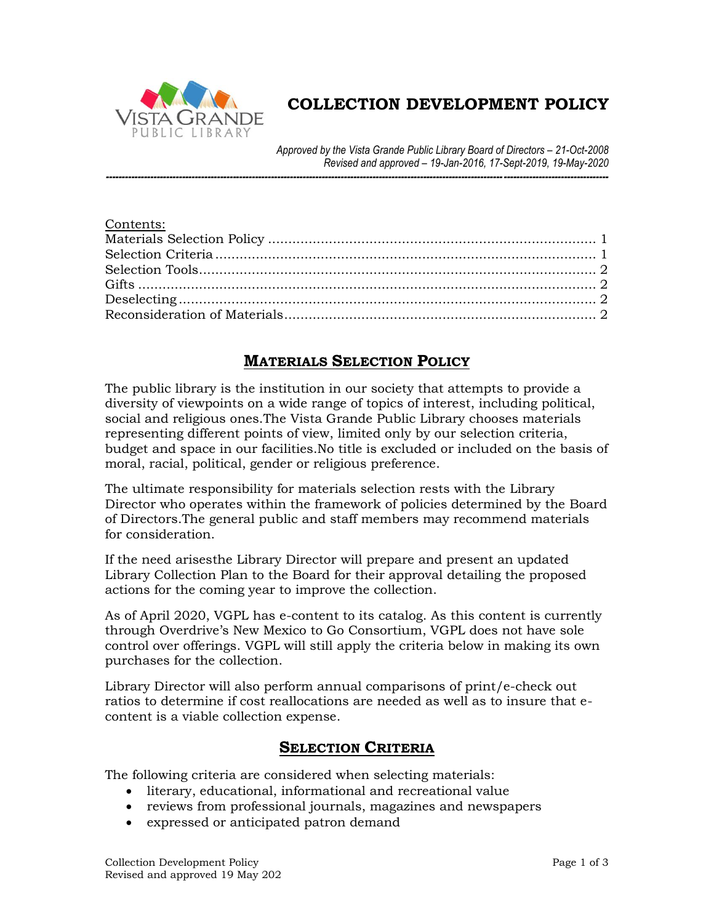

# **COLLECTION DEVELOPMENT POLICY**

*Approved by the Vista Grande Public Library Board of Directors – 21-Oct-2008 Revised and approved – 19-Jan-2016, 17-Sept-2019, 19-May-2020*

*--------------------------------------------------------------------------------------------------------------------------------------------------------------*

## **MATERIALS SELECTION POLICY**

<span id="page-0-0"></span>The public library is the institution in our society that attempts to provide a diversity of viewpoints on a wide range of topics of interest, including political, social and religious ones.The Vista Grande Public Library chooses materials representing different points of view, limited only by our selection criteria, budget and space in our facilities.No title is excluded or included on the basis of moral, racial, political, gender or religious preference.

The ultimate responsibility for materials selection rests with the Library Director who operates within the framework of policies determined by the Board of Directors.The general public and staff members may recommend materials for consideration.

If the need arisesthe Library Director will prepare and present an updated Library Collection Plan to the Board for their approval detailing the proposed actions for the coming year to improve the collection.

As of April 2020, VGPL has e-content to its catalog. As this content is currently through Overdrive's New Mexico to Go Consortium, VGPL does not have sole control over offerings. VGPL will still apply the criteria below in making its own purchases for the collection.

<span id="page-0-1"></span>Library Director will also perform annual comparisons of print/e-check out ratios to determine if cost reallocations are needed as well as to insure that econtent is a viable collection expense.

### **SELECTION CRITERIA**

The following criteria are considered when selecting materials:

- literary, educational, informational and recreational value
- reviews from professional journals, magazines and newspapers
- expressed or anticipated patron demand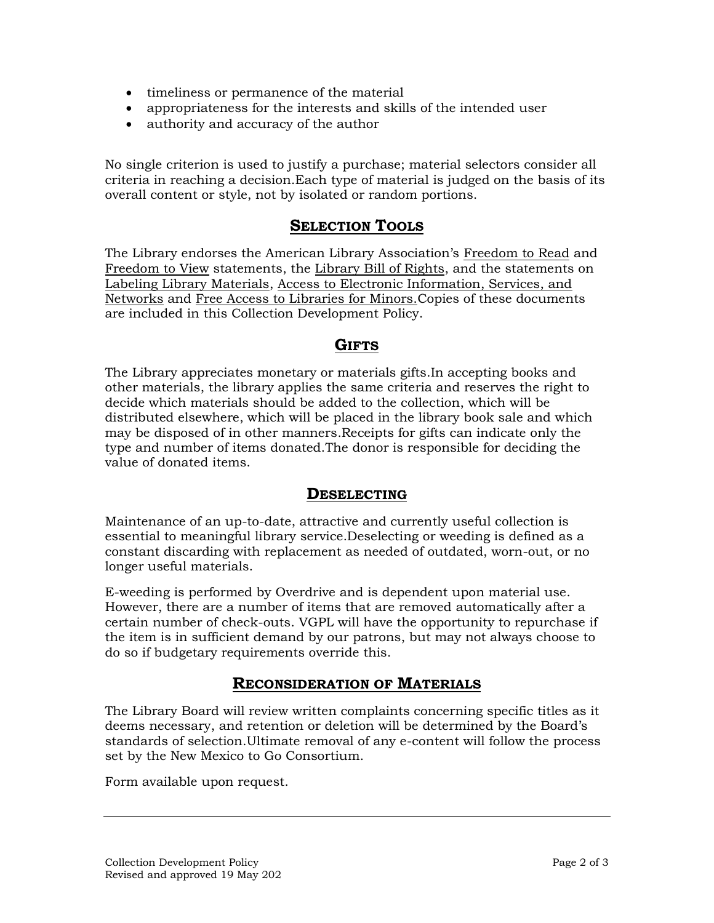- timeliness or permanence of the material
- appropriateness for the interests and skills of the intended user
- authority and accuracy of the author

No single criterion is used to justify a purchase; material selectors consider all criteria in reaching a decision.Each type of material is judged on the basis of its overall content or style, not by isolated or random portions.

### **SELECTION TOOLS**

<span id="page-1-0"></span>The Library endorses the American Library Association's Freedom to Read and Freedom to View statements, the Library Bill of Rights, and the statements on Labeling Library Materials, Access to Electronic Information, Services, and Networks and Free Access to Libraries for Minors.Copies of these documents are included in this Collection Development Policy.

#### **GIFTS**

<span id="page-1-1"></span>The Library appreciates monetary or materials gifts.In accepting books and other materials, the library applies the same criteria and reserves the right to decide which materials should be added to the collection, which will be distributed elsewhere, which will be placed in the library book sale and which may be disposed of in other manners.Receipts for gifts can indicate only the type and number of items donated.The donor is responsible for deciding the value of donated items.

#### **DESELECTING**

<span id="page-1-2"></span>Maintenance of an up-to-date, attractive and currently useful collection is essential to meaningful library service.Deselecting or weeding is defined as a constant discarding with replacement as needed of outdated, worn-out, or no longer useful materials.

E-weeding is performed by Overdrive and is dependent upon material use. However, there are a number of items that are removed automatically after a certain number of check-outs. VGPL will have the opportunity to repurchase if the item is in sufficient demand by our patrons, but may not always choose to do so if budgetary requirements override this.

#### **RECONSIDERATION OF MATERIALS**

<span id="page-1-3"></span>The Library Board will review written complaints concerning specific titles as it deems necessary, and retention or deletion will be determined by the Board's standards of selection.Ultimate removal of any e-content will follow the process set by the New Mexico to Go Consortium.

Form available upon request.